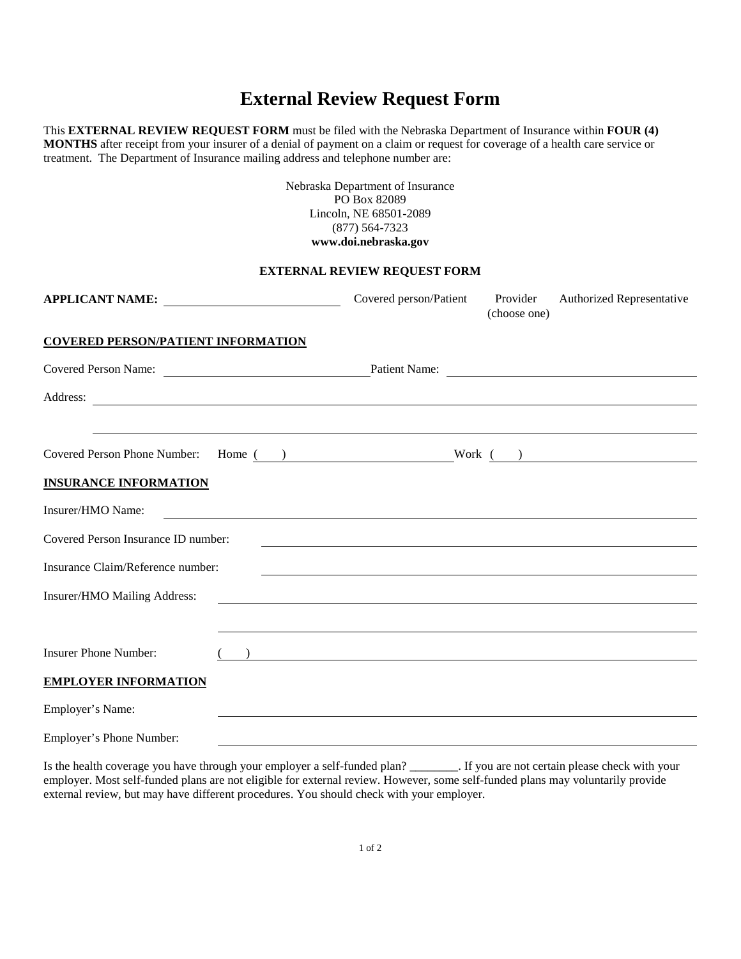### **External Review Request Form**

This **EXTERNAL REVIEW REQUEST FORM** must be filed with the Nebraska Department of Insurance within **FOUR (4) MONTHS** after receipt from your insurer of a denial of payment on a claim or request for coverage of a health care service or treatment. The Department of Insurance mailing address and telephone number are:

> Nebraska Department of Insurance PO Box 82089 Lincoln, NE 68501-2089 (877) 564-7323 **www.doi.nebraska.gov**

#### **EXTERNAL REVIEW REQUEST FORM**

| APPLICANT NAME:                                                                                                                                                                                                                      | Covered person/Patient Provider                                                                                       | (choose one) | Authorized Representative |
|--------------------------------------------------------------------------------------------------------------------------------------------------------------------------------------------------------------------------------------|-----------------------------------------------------------------------------------------------------------------------|--------------|---------------------------|
| <b>COVERED PERSON/PATIENT INFORMATION</b>                                                                                                                                                                                            |                                                                                                                       |              |                           |
| Covered Person Name: Patient Name: Patient Name:                                                                                                                                                                                     |                                                                                                                       |              |                           |
| Address: <u>and a series of the series of the series of the series of the series of the series of the series of the series of the series of the series of the series of the series of the series of the series of the series of </u> |                                                                                                                       |              |                           |
|                                                                                                                                                                                                                                      | ,我们也不会有什么。""我们的人,我们也不会有什么?""我们的人,我们也不会有什么?""我们的人,我们也不会有什么?""我们的人,我们也不会有什么?""我们的人                                      |              |                           |
| Covered Person Phone Number: Home ( ) Work ( )                                                                                                                                                                                       |                                                                                                                       |              |                           |
| <b>INSURANCE INFORMATION</b>                                                                                                                                                                                                         |                                                                                                                       |              |                           |
| Insurer/HMO Name:                                                                                                                                                                                                                    |                                                                                                                       |              |                           |
| Covered Person Insurance ID number:                                                                                                                                                                                                  |                                                                                                                       |              |                           |
| Insurance Claim/Reference number:                                                                                                                                                                                                    |                                                                                                                       |              |                           |
| Insurer/HMO Mailing Address:                                                                                                                                                                                                         | <u> 1980 - Johann Barn, mars ann an t-Amhain Aonaich an t-Aonaich an t-Aonaich an t-Aonaich an t-Aonaich an t-Aon</u> |              |                           |
|                                                                                                                                                                                                                                      |                                                                                                                       |              |                           |
| <b>Insurer Phone Number:</b>                                                                                                                                                                                                         | <u> 1989 - Andrea State Barbara, amerikan personal di sebagai personal di sebagai personal di sebagai personal d</u>  |              |                           |
| <b>EMPLOYER INFORMATION</b>                                                                                                                                                                                                          |                                                                                                                       |              |                           |
| Employer's Name:                                                                                                                                                                                                                     |                                                                                                                       |              |                           |
| Employer's Phone Number:                                                                                                                                                                                                             |                                                                                                                       |              |                           |

Is the health coverage you have through your employer a self-funded plan? \_\_\_\_\_\_\_\_. If you are not certain please check with your employer. Most self-funded plans are not eligible for external review. However, some self-funded plans may voluntarily provide external review, but may have different procedures. You should check with your employer.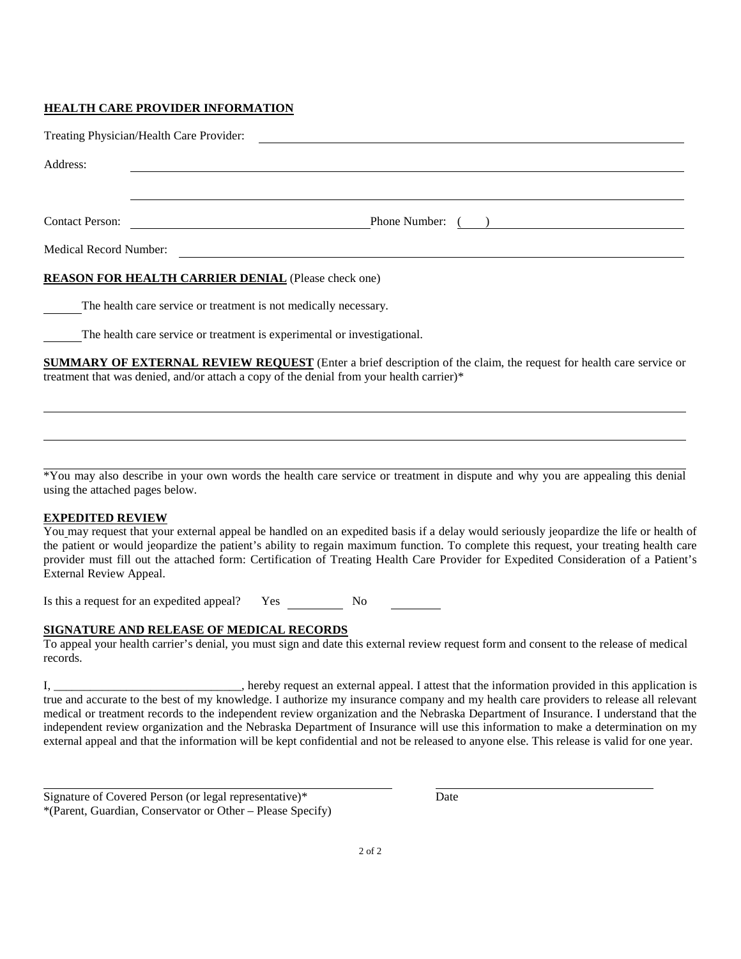#### **HEALTH CARE PROVIDER INFORMATION**

|                        | Treating Physician/Health Care Provider:                                 |
|------------------------|--------------------------------------------------------------------------|
| Address:               |                                                                          |
|                        |                                                                          |
| <b>Contact Person:</b> | Phone Number: ( )                                                        |
| Medical Record Number: |                                                                          |
|                        | <b>REASON FOR HEALTH CARRIER DENIAL (Please check one)</b>               |
|                        | The health care service or treatment is not medically necessary.         |
|                        | The health care service or treatment is experimental or investigational. |

**SUMMARY OF EXTERNAL REVIEW REQUEST** (Enter a brief description of the claim, the request for health care service or treatment that was denied, and/or attach a copy of the denial from your health carrier)\*

\*You may also describe in your own words the health care service or treatment in dispute and why you are appealing this denial using the attached pages below.

#### **EXPEDITED REVIEW**

You may request that your external appeal be handled on an expedited basis if a delay would seriously jeopardize the life or health of the patient or would jeopardize the patient's ability to regain maximum function. To complete this request, your treating health care provider must fill out the attached form: Certification of Treating Health Care Provider for Expedited Consideration of a Patient's External Review Appeal.

Is this a request for an expedited appeal? Yes No

#### **SIGNATURE AND RELEASE OF MEDICAL RECORDS**

To appeal your health carrier's denial, you must sign and date this external review request form and consent to the release of medical records.

I, \_\_\_\_\_\_\_\_\_\_\_\_\_\_\_\_\_\_\_\_\_\_\_\_\_\_\_\_\_\_\_, hereby request an external appeal. I attest that the information provided in this application is true and accurate to the best of my knowledge. I authorize my insurance company and my health care providers to release all relevant medical or treatment records to the independent review organization and the Nebraska Department of Insurance. I understand that the independent review organization and the Nebraska Department of Insurance will use this information to make a determination on my external appeal and that the information will be kept confidential and not be released to anyone else. This release is valid for one year.

Signature of Covered Person (or legal representative)\* Date \*(Parent, Guardian, Conservator or Other – Please Specify)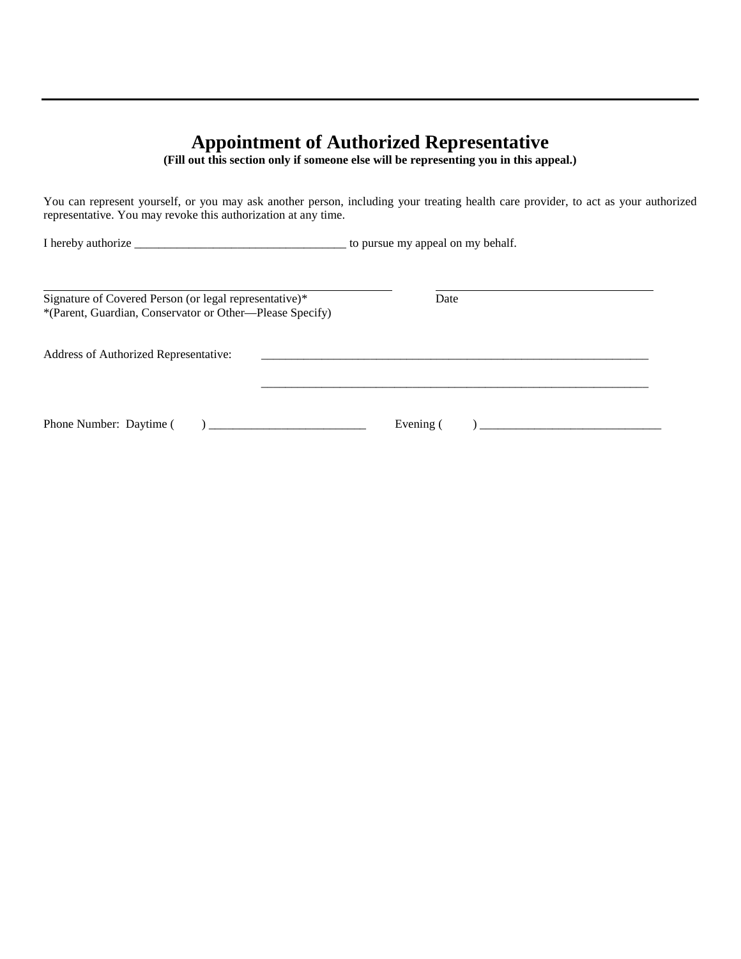### **Appointment of Authorized Representative**

**(Fill out this section only if someone else will be representing you in this appeal.)**

You can represent yourself, or you may ask another person, including your treating health care provider, to act as your authorized representative. You may revoke this authorization at any time.

I hereby authorize \_\_\_\_\_\_\_\_\_\_\_\_\_\_\_\_\_\_\_\_\_\_\_\_\_\_\_\_\_\_\_\_\_\_\_ to pursue my appeal on my behalf.

| Signature of Covered Person (or legal representative)*<br>*(Parent, Guardian, Conservator or Other—Please Specify) | Date      |
|--------------------------------------------------------------------------------------------------------------------|-----------|
| Address of Authorized Representative:                                                                              |           |
| Phone Number: Daytime (                                                                                            | Evening ( |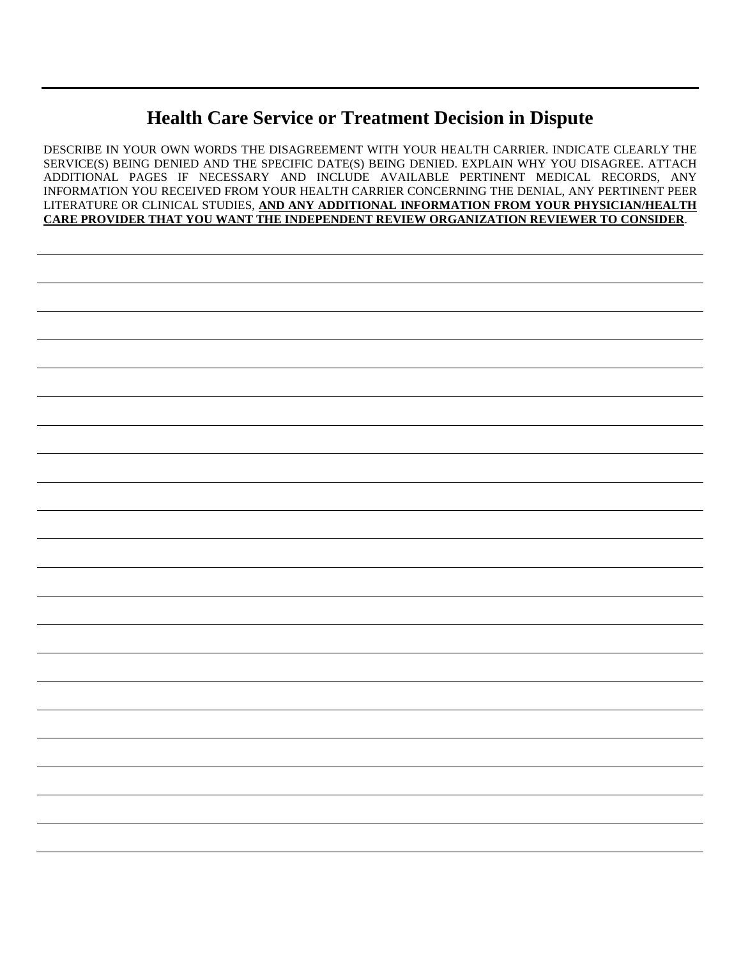# **Health Care Service or Treatment Decision in Dispute**

DESCRIBE IN YOUR OWN WORDS THE DISAGREEMENT WITH YOUR HEALTH CARRIER. INDICATE CLEARLY THE SERVICE(S) BEING DENIED AND THE SPECIFIC DATE(S) BEING DENIED. EXPLAIN WHY YOU DISAGREE. ATTACH ADDITIONAL PAGES IF NECESSARY AND INCLUDE AVAILABLE PERTINENT MEDICAL RECORDS, ANY INFORMATION YOU RECEIVED FROM YOUR HEALTH CARRIER CONCERNING THE DENIAL, ANY PERTINENT PEER LITERATURE OR CLINICAL STUDIES, **AND ANY ADDITIONAL INFORMATION FROM YOUR PHYSICIAN/HEALTH CARE PROVIDER THAT YOU WANT THE INDEPENDENT REVIEW ORGANIZATION REVIEWER TO CONSIDER**.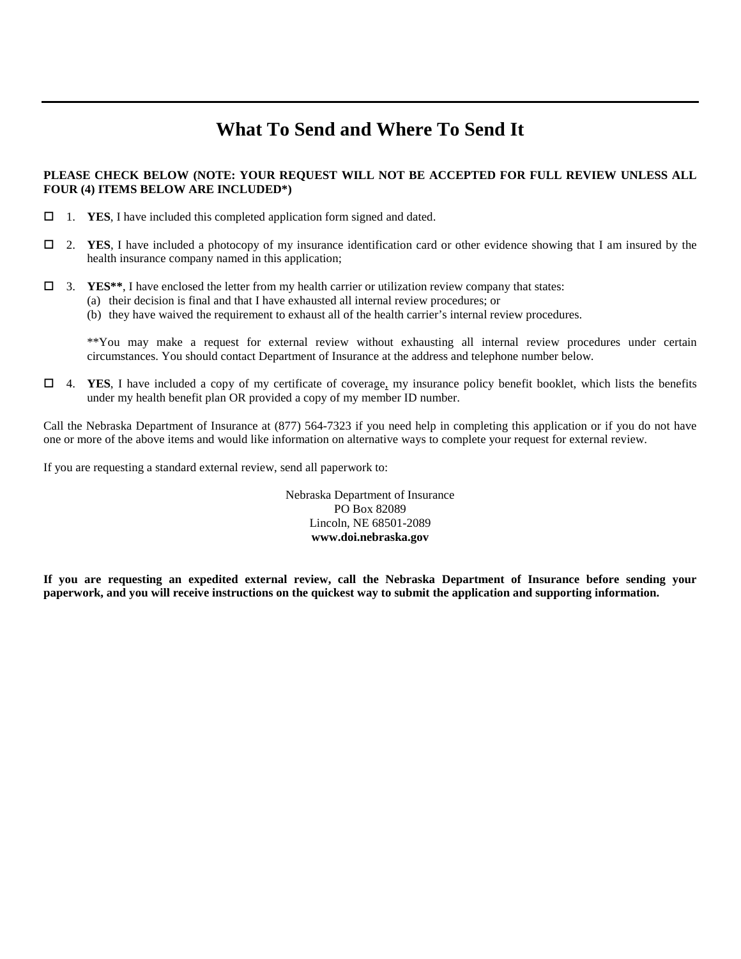## **What To Send and Where To Send It**

#### **PLEASE CHECK BELOW (NOTE: YOUR REQUEST WILL NOT BE ACCEPTED FOR FULL REVIEW UNLESS ALL FOUR (4) ITEMS BELOW ARE INCLUDED\*)**

- 1. **YES**, I have included this completed application form signed and dated.
- 2. **YES**, I have included a photocopy of my insurance identification card or other evidence showing that I am insured by the health insurance company named in this application;
- 3. **YES\*\***, I have enclosed the letter from my health carrier or utilization review company that states:
	- (a) their decision is final and that I have exhausted all internal review procedures; or
	- (b) they have waived the requirement to exhaust all of the health carrier's internal review procedures.

\*\*You may make a request for external review without exhausting all internal review procedures under certain circumstances. You should contact Department of Insurance at the address and telephone number below.

 4. **YES**, I have included a copy of my certificate of coverage, my insurance policy benefit booklet, which lists the benefits under my health benefit plan OR provided a copy of my member ID number.

Call the Nebraska Department of Insurance at (877) 564-7323 if you need help in completing this application or if you do not have one or more of the above items and would like information on alternative ways to complete your request for external review.

If you are requesting a standard external review, send all paperwork to:

Nebraska Department of Insurance PO Box 82089 Lincoln, NE 68501-2089 **www.doi.nebraska.gov**

**If you are requesting an expedited external review, call the Nebraska Department of Insurance before sending your paperwork, and you will receive instructions on the quickest way to submit the application and supporting information.**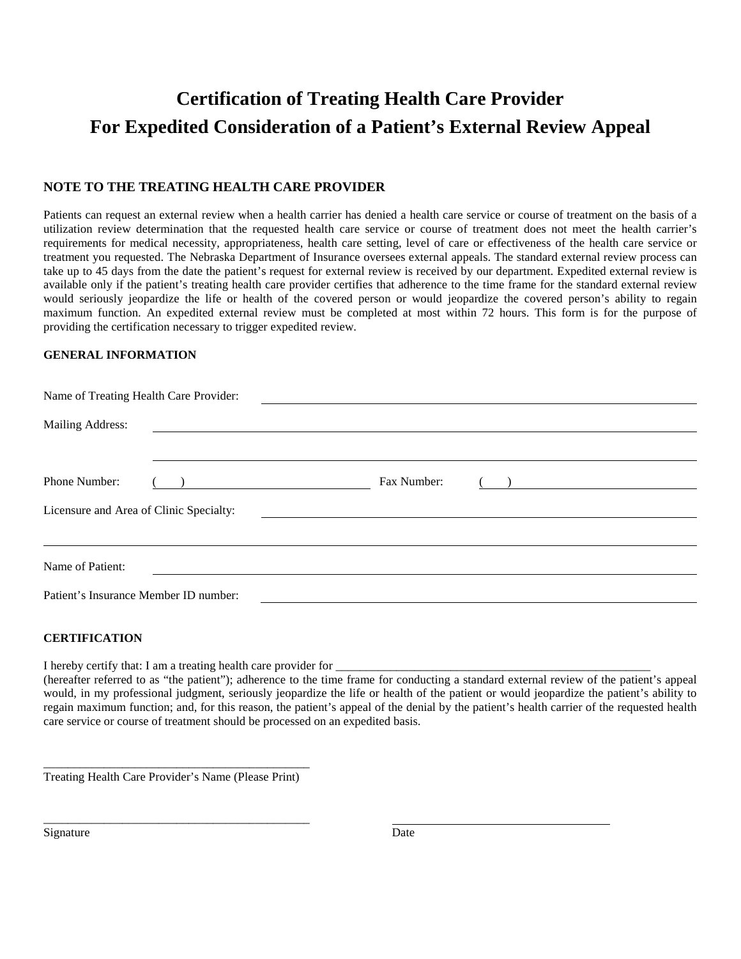# **Certification of Treating Health Care Provider For Expedited Consideration of a Patient's External Review Appeal**

### **NOTE TO THE TREATING HEALTH CARE PROVIDER**

Patients can request an external review when a health carrier has denied a health care service or course of treatment on the basis of a utilization review determination that the requested health care service or course of treatment does not meet the health carrier's requirements for medical necessity, appropriateness, health care setting, level of care or effectiveness of the health care service or treatment you requested. The Nebraska Department of Insurance oversees external appeals. The standard external review process can take up to 45 days from the date the patient's request for external review is received by our department. Expedited external review is available only if the patient's treating health care provider certifies that adherence to the time frame for the standard external review would seriously jeopardize the life or health of the covered person or would jeopardize the covered person's ability to regain maximum function. An expedited external review must be completed at most within 72 hours. This form is for the purpose of providing the certification necessary to trigger expedited review.

#### **GENERAL INFORMATION**

| Name of Treating Health Care Provider:  |                                                                       |                                                                                                                      |                                                                                                                                                                                                                                  |  |  |  |  |
|-----------------------------------------|-----------------------------------------------------------------------|----------------------------------------------------------------------------------------------------------------------|----------------------------------------------------------------------------------------------------------------------------------------------------------------------------------------------------------------------------------|--|--|--|--|
| Mailing Address:                        |                                                                       | <u> Andreas Andreas Andreas Andreas Andreas Andreas Andreas Andreas Andreas Andreas Andreas Andreas Andreas Andr</u> |                                                                                                                                                                                                                                  |  |  |  |  |
| Phone Number:                           | <u> 1989 - Johann Harry Barn, mars ar breist fan de Fryske kommer</u> | Fax Number:                                                                                                          | о производительно в составительно в составительно в составительно в составительно в составительно в составител<br>В составите составительно в составительно в составительно в составительно в составительно в составительно в со |  |  |  |  |
| Licensure and Area of Clinic Specialty: |                                                                       |                                                                                                                      |                                                                                                                                                                                                                                  |  |  |  |  |
| Name of Patient:                        |                                                                       |                                                                                                                      |                                                                                                                                                                                                                                  |  |  |  |  |
|                                         | Patient's Insurance Member ID number:                                 |                                                                                                                      |                                                                                                                                                                                                                                  |  |  |  |  |

#### **CERTIFICATION**

I hereby certify that: I am a treating health care provider for

(hereafter referred to as "the patient"); adherence to the time frame for conducting a standard external review of the patient's appeal would, in my professional judgment, seriously jeopardize the life or health of the patient or would jeopardize the patient's ability to regain maximum function; and, for this reason, the patient's appeal of the denial by the patient's health carrier of the requested health care service or course of treatment should be processed on an expedited basis.

\_\_\_\_\_\_\_\_\_\_\_\_\_\_\_\_\_\_\_\_\_\_\_\_\_\_\_\_\_\_\_\_\_\_\_\_\_\_\_\_\_\_\_\_ Treating Health Care Provider's Name (Please Print)

\_\_\_\_\_\_\_\_\_\_\_\_\_\_\_\_\_\_\_\_\_\_\_\_\_\_\_\_\_\_\_\_\_\_\_\_\_\_\_\_\_\_\_\_